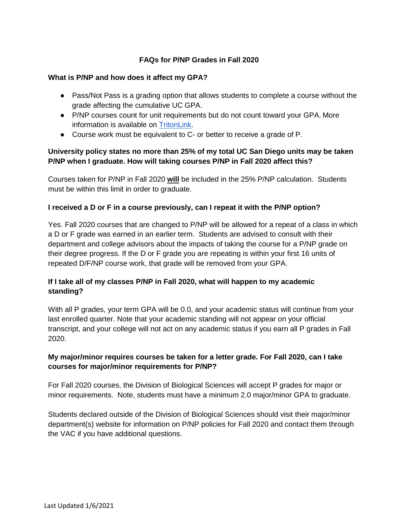## **FAQs for P/NP Grades in Fall 2020**

#### **What is P/NP and how does it affect my GPA?**

- Pass/Not Pass is a grading option that allows students to complete a course without the grade affecting the cumulative UC GPA.
- P/NP courses count for unit requirements but do not count toward your GPA. More information is available on [TritonLink.](https://students.ucsd.edu/academics/exams-grades-transcripts/grades/pass-not-pass-grade.html)
- Course work must be equivalent to C- or better to receive a grade of P.

# **University policy states no more than 25% of my total UC San Diego units may be taken P/NP when I graduate. How will taking courses P/NP in Fall 2020 affect this?**

Courses taken for P/NP in Fall 2020 **will** be included in the 25% P/NP calculation. Students must be within this limit in order to graduate.

### **I received a D or F in a course previously, can I repeat it with the P/NP option?**

Yes. Fall 2020 courses that are changed to P/NP will be allowed for a repeat of a class in which a D or F grade was earned in an earlier term. Students are advised to consult with their department and college advisors about the impacts of taking the course for a P/NP grade on their degree progress. If the D or F grade you are repeating is within your first 16 units of repeated D/F/NP course work, that grade will be removed from your GPA.

# **If I take all of my classes P/NP in Fall 2020, what will happen to my academic standing?**

With all P grades, your term GPA will be 0.0, and your academic status will continue from your last enrolled quarter. Note that your academic standing will not appear on your official transcript, and your college will not act on any academic status if you earn all P grades in Fall 2020.

## **My major/minor requires courses be taken for a letter grade. For Fall 2020, can I take courses for major/minor requirements for P/NP?**

For Fall 2020 courses, the Division of Biological Sciences will accept P grades for major or minor requirements. Note, students must have a minimum 2.0 major/minor GPA to graduate.

Students declared outside of the Division of Biological Sciences should visit their major/minor department(s) website for information on P/NP policies for Fall 2020 and contact them through the VAC if you have additional questions.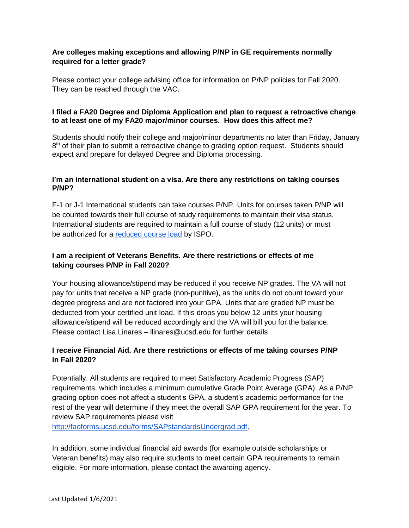## **Are colleges making exceptions and allowing P/NP in GE requirements normally required for a letter grade?**

Please contact your college advising office for information on P/NP policies for Fall 2020. They can be reached through the VAC.

## **I filed a FA20 Degree and Diploma Application and plan to request a retroactive change to at least one of my FA20 major/minor courses. How does this affect me?**

Students should notify their college and major/minor departments no later than Friday, January 8<sup>th</sup> of their plan to submit a retroactive change to grading option request. Students should expect and prepare for delayed Degree and Diploma processing.

### **I'm an international student on a visa. Are there any restrictions on taking courses P/NP?**

F-1 or J-1 International students can take courses P/NP. Units for courses taken P/NP will be counted towards their full course of study requirements to maintain their visa status. International students are required to maintain a full course of study (12 units) or must be authorized for a [reduced course load](https://ispo.ucsd.edu/advising/visa/current-returning-students/visa-status/maintaining-status/reduced-course-load/index.html) by ISPO.

# **I am a recipient of Veterans Benefits. Are there restrictions or effects of me taking courses P/NP in Fall 2020?**

Your housing allowance/stipend may be reduced if you receive NP grades. The VA will not pay for units that receive a NP grade (non-punitive), as the units do not count toward your degree progress and are not factored into your GPA. Units that are graded NP must be deducted from your certified unit load. If this drops you below 12 units your housing allowance/stipend will be reduced accordingly and the VA will bill you for the balance. Please contact Lisa Linares – llinares @ucsd.edu for further details

# **I receive Financial Aid. Are there restrictions or effects of me taking courses P/NP in Fall 2020?**

Potentially. All students are required to meet Satisfactory Academic Progress (SAP) requirements, which includes a minimum cumulative Grade Point Average (GPA). As a P/NP grading option does not affect a student's GPA, a student's academic performance for the rest of the year will determine if they meet the overall SAP GPA requirement for the year. To review SAP requirements please visit

[http://faoforms.ucsd.edu/forms/SAPstandardsUndergrad.pdf.](http://faoforms.ucsd.edu/forms/SAPstandardsUndergrad.pdf)

In addition, some individual financial aid awards (for example outside scholarships or Veteran benefits) may also require students to meet certain GPA requirements to remain eligible. For more information, please contact the awarding agency.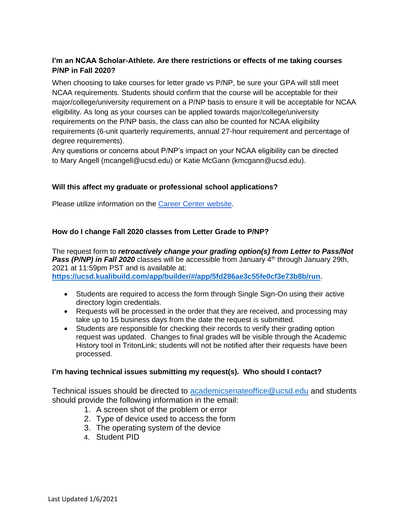# **I'm an NCAA Scholar-Athlete. Are there restrictions or effects of me taking courses P/NP in Fall 2020?**

When choosing to take courses for letter grade vs P/NP, be sure your GPA will still meet NCAA requirements. Students should confirm that the course will be acceptable for their major/college/university requirement on a P/NP basis to ensure it will be acceptable for NCAA eligibility. As long as your courses can be applied towards major/college/university requirements on the P/NP basis, the class can also be counted for NCAA eligibility requirements (6-unit quarterly requirements, annual 27-hour requirement and percentage of degree requirements).

Any questions or concerns about P/NP's impact on your NCAA eligibility can be directed to Mary Angell (mcangell@ucsd.edu) or Katie McGann (kmcgann@ucsd.edu).

## **Will this affect my graduate or professional school applications?**

Please utilize information on the [Career Center website.](https://career.ucsd.edu/grad-school/explore/index.html)

### **How do I change Fall 2020 classes from Letter Grade to P/NP?**

The request form to *retroactively change your grading option(s) from Letter to Pass/Not*  **Pass (P/NP) in Fall 2020** classes will be accessible from January 4<sup>th</sup> through January 29th, 2021 at 11:59pm PST and is available at: **[https://ucsd.kualibuild.com/app/builder/#/app/5fd286ae3c55fe0cf3e73b8b/run.](https://stark.ucsd.edu/public/sendy/l/tQOo5OvnDyVaadye3B6JZg/1ZnipLHEjSZPUWB763PWW8JQ/AhKs8EG44AoTkvEAB010QQ)**

- Students are required to access the form through Single Sign-On using their active directory login credentials.
- Requests will be processed in the order that they are received, and processing may take up to 15 business days from the date the request is submitted.
- Students are responsible for checking their records to verify their grading option request was updated. Changes to final grades will be visible through the Academic History tool in TritonLink; students will not be notified after their requests have been processed.

### **I'm having technical issues submitting my request(s). Who should I contact?**

Technical issues should be directed to **academicsenateoffice@ucsd.edu** and students should provide the following information in the email:

- 1. A screen shot of the problem or error
- 2. Type of device used to access the form
- 3. The operating system of the device
- 4. Student PID